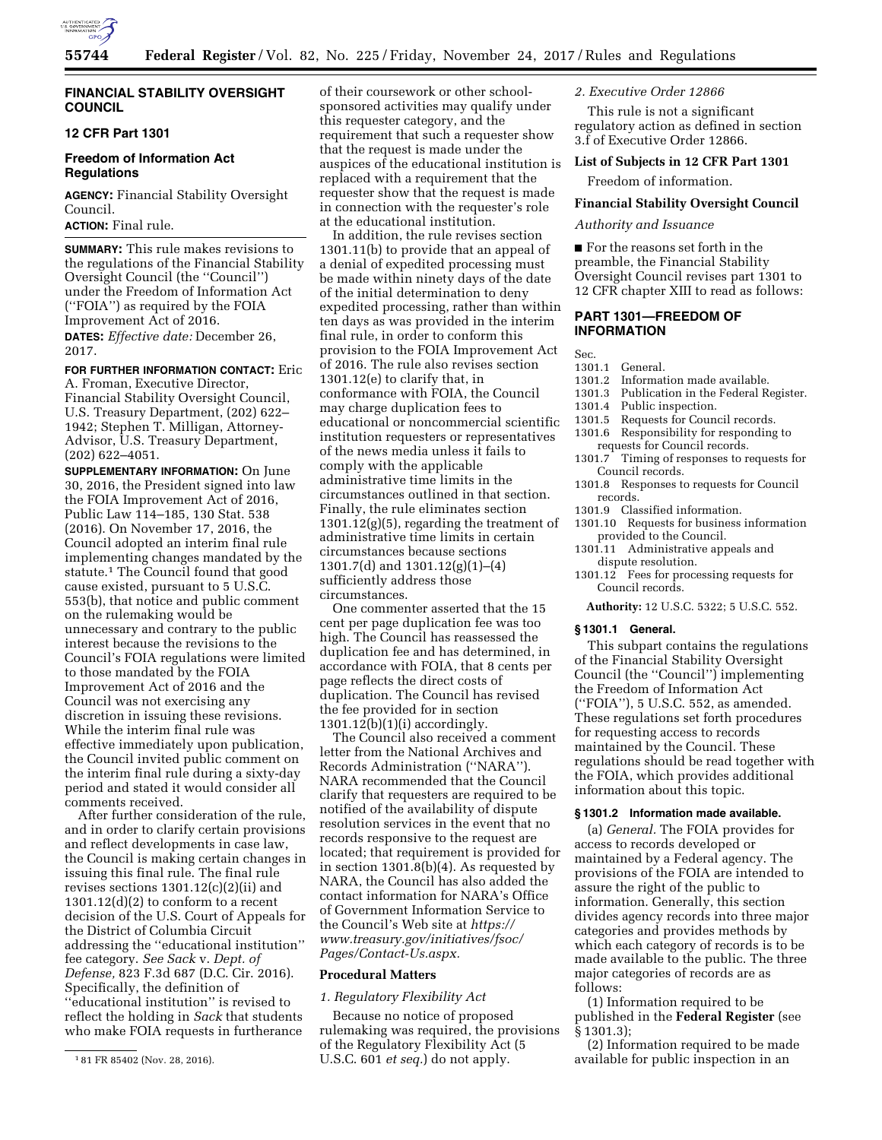

# **FINANCIAL STABILITY OVERSIGHT COUNCIL**

# **12 CFR Part 1301**

# **Freedom of Information Act Regulations**

**AGENCY:** Financial Stability Oversight Council.

# **ACTION:** Final rule.

**SUMMARY:** This rule makes revisions to the regulations of the Financial Stability Oversight Council (the ''Council'') under the Freedom of Information Act (''FOIA'') as required by the FOIA Improvement Act of 2016. **DATES:** *Effective date:* December 26, 2017.

# **FOR FURTHER INFORMATION CONTACT:** Eric

A. Froman, Executive Director, Financial Stability Oversight Council, U.S. Treasury Department, (202) 622– 1942; Stephen T. Milligan, Attorney-Advisor, U.S. Treasury Department, (202) 622–4051.

**SUPPLEMENTARY INFORMATION:** On June 30, 2016, the President signed into law the FOIA Improvement Act of 2016, Public Law 114–185, 130 Stat. 538 (2016). On November 17, 2016, the Council adopted an interim final rule implementing changes mandated by the statute.1 The Council found that good cause existed, pursuant to 5 U.S.C. 553(b), that notice and public comment on the rulemaking would be unnecessary and contrary to the public interest because the revisions to the Council's FOIA regulations were limited to those mandated by the FOIA Improvement Act of 2016 and the Council was not exercising any discretion in issuing these revisions. While the interim final rule was effective immediately upon publication, the Council invited public comment on the interim final rule during a sixty-day period and stated it would consider all comments received.

After further consideration of the rule, and in order to clarify certain provisions and reflect developments in case law, the Council is making certain changes in issuing this final rule. The final rule revises sections  $1301.12(c)(2)(ii)$  and  $1301.12(d)(2)$  to conform to a recent decision of the U.S. Court of Appeals for the District of Columbia Circuit addressing the ''educational institution'' fee category. *See Sack* v. *Dept. of Defense,* 823 F.3d 687 (D.C. Cir. 2016). Specifically, the definition of ''educational institution'' is revised to reflect the holding in *Sack* that students who make FOIA requests in furtherance

of their coursework or other schoolsponsored activities may qualify under this requester category, and the requirement that such a requester show that the request is made under the auspices of the educational institution is replaced with a requirement that the requester show that the request is made in connection with the requester's role at the educational institution.

In addition, the rule revises section 1301.11(b) to provide that an appeal of a denial of expedited processing must be made within ninety days of the date of the initial determination to deny expedited processing, rather than within ten days as was provided in the interim final rule, in order to conform this provision to the FOIA Improvement Act of 2016. The rule also revises section 1301.12(e) to clarify that, in conformance with FOIA, the Council may charge duplication fees to educational or noncommercial scientific institution requesters or representatives of the news media unless it fails to comply with the applicable administrative time limits in the circumstances outlined in that section. Finally, the rule eliminates section 1301.12(g)(5), regarding the treatment of administrative time limits in certain circumstances because sections 1301.7(d) and 1301.12(g)(1)–(4) sufficiently address those circumstances.

One commenter asserted that the 15 cent per page duplication fee was too high. The Council has reassessed the duplication fee and has determined, in accordance with FOIA, that 8 cents per page reflects the direct costs of duplication. The Council has revised the fee provided for in section  $1301.12(b)(1)(i)$  accordingly.

The Council also received a comment letter from the National Archives and Records Administration (''NARA''). NARA recommended that the Council clarify that requesters are required to be notified of the availability of dispute resolution services in the event that no records responsive to the request are located; that requirement is provided for in section 1301.8(b)(4). As requested by NARA, the Council has also added the contact information for NARA's Office of Government Information Service to the Council's Web site at *[https://](https://www.treasury.gov/initiatives/fsoc/Pages/Contact-Us.aspx) [www.treasury.gov/initiatives/fsoc/](https://www.treasury.gov/initiatives/fsoc/Pages/Contact-Us.aspx) [Pages/Contact-Us.aspx.](https://www.treasury.gov/initiatives/fsoc/Pages/Contact-Us.aspx)* 

#### **Procedural Matters**

# *1. Regulatory Flexibility Act*

Because no notice of proposed rulemaking was required, the provisions of the Regulatory Flexibility Act (5 U.S.C. 601 *et seq.*) do not apply.

## *2. Executive Order 12866*

This rule is not a significant regulatory action as defined in section 3.f of Executive Order 12866.

#### **List of Subjects in 12 CFR Part 1301**

Freedom of information.

## **Financial Stability Oversight Council**

#### *Authority and Issuance*

■ For the reasons set forth in the preamble, the Financial Stability Oversight Council revises part 1301 to 12 CFR chapter XIII to read as follows:

# **PART 1301—FREEDOM OF INFORMATION**

Sec.

- 1301.1 General.
- Information made available.
- 1301.3 Publication in the Federal Register.
- 1301.4 Public inspection.<br>1301.5 Requests for Counc
- Requests for Council records.
- 1301.6 Responsibility for responding to requests for Council records.
- 1301.7 Timing of responses to requests for Council records.
- 1301.8 Responses to requests for Council records.
- 1301.9 Classified information.
- 1301.10 Requests for business information provided to the Council.
- 1301.11 Administrative appeals and dispute resolution.
- 1301.12 Fees for processing requests for Council records.

**Authority:** 12 U.S.C. 5322; 5 U.S.C. 552.

#### **§ 1301.1 General.**

This subpart contains the regulations of the Financial Stability Oversight Council (the ''Council'') implementing the Freedom of Information Act (''FOIA''), 5 U.S.C. 552, as amended. These regulations set forth procedures for requesting access to records maintained by the Council. These regulations should be read together with the FOIA, which provides additional information about this topic.

## **§ 1301.2 Information made available.**

(a) *General.* The FOIA provides for access to records developed or maintained by a Federal agency. The provisions of the FOIA are intended to assure the right of the public to information. Generally, this section divides agency records into three major categories and provides methods by which each category of records is to be made available to the public. The three major categories of records are as follows:

(1) Information required to be published in the **Federal Register** (see § 1301.3);

(2) Information required to be made available for public inspection in an

<sup>1</sup> 81 FR 85402 (Nov. 28, 2016).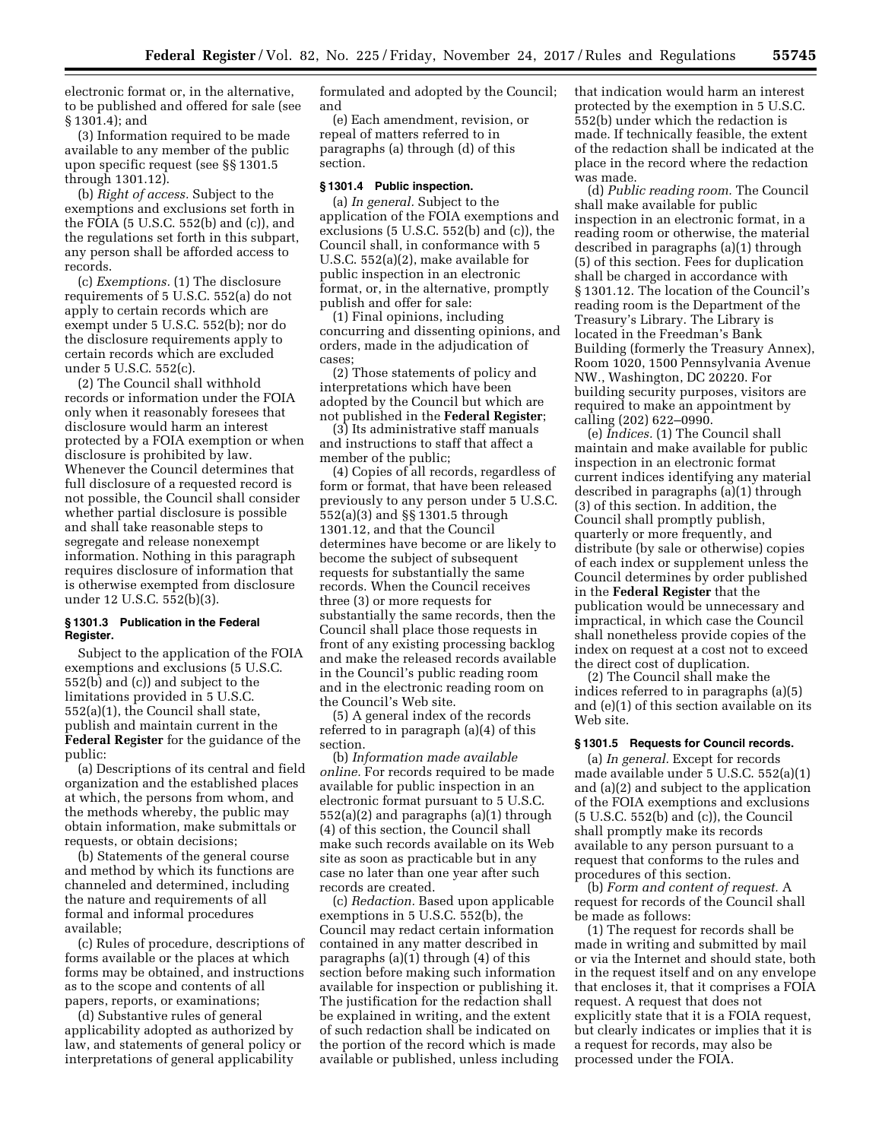electronic format or, in the alternative, to be published and offered for sale (see § 1301.4); and

(3) Information required to be made available to any member of the public upon specific request (see §§ 1301.5 through 1301.12).

(b) *Right of access.* Subject to the exemptions and exclusions set forth in the FOIA (5 U.S.C. 552(b) and (c)), and the regulations set forth in this subpart, any person shall be afforded access to records.

(c) *Exemptions.* (1) The disclosure requirements of 5 U.S.C. 552(a) do not apply to certain records which are exempt under 5 U.S.C. 552(b); nor do the disclosure requirements apply to certain records which are excluded under 5 U.S.C. 552(c).

(2) The Council shall withhold records or information under the FOIA only when it reasonably foresees that disclosure would harm an interest protected by a FOIA exemption or when disclosure is prohibited by law. Whenever the Council determines that full disclosure of a requested record is not possible, the Council shall consider whether partial disclosure is possible and shall take reasonable steps to segregate and release nonexempt information. Nothing in this paragraph requires disclosure of information that is otherwise exempted from disclosure under 12 U.S.C. 552(b)(3).

# **§ 1301.3 Publication in the Federal Register.**

Subject to the application of the FOIA exemptions and exclusions (5 U.S.C. 552(b) and (c)) and subject to the limitations provided in 5 U.S.C. 552(a)(1), the Council shall state, publish and maintain current in the **Federal Register** for the guidance of the public:

(a) Descriptions of its central and field organization and the established places at which, the persons from whom, and the methods whereby, the public may obtain information, make submittals or requests, or obtain decisions;

(b) Statements of the general course and method by which its functions are channeled and determined, including the nature and requirements of all formal and informal procedures available;

(c) Rules of procedure, descriptions of forms available or the places at which forms may be obtained, and instructions as to the scope and contents of all papers, reports, or examinations;

(d) Substantive rules of general applicability adopted as authorized by law, and statements of general policy or interpretations of general applicability

formulated and adopted by the Council; and

(e) Each amendment, revision, or repeal of matters referred to in paragraphs (a) through (d) of this section.

### **§ 1301.4 Public inspection.**

(a) *In general.* Subject to the application of the FOIA exemptions and exclusions (5 U.S.C. 552(b) and (c)), the Council shall, in conformance with 5 U.S.C. 552(a)(2), make available for public inspection in an electronic format, or, in the alternative, promptly publish and offer for sale:

(1) Final opinions, including concurring and dissenting opinions, and orders, made in the adjudication of cases;

(2) Those statements of policy and interpretations which have been adopted by the Council but which are not published in the **Federal Register**;

(3) Its administrative staff manuals and instructions to staff that affect a member of the public;

(4) Copies of all records, regardless of form or format, that have been released previously to any person under 5 U.S.C. 552(a)(3) and §§ 1301.5 through 1301.12, and that the Council determines have become or are likely to become the subject of subsequent requests for substantially the same records. When the Council receives three (3) or more requests for substantially the same records, then the Council shall place those requests in front of any existing processing backlog and make the released records available in the Council's public reading room and in the electronic reading room on the Council's Web site.

(5) A general index of the records referred to in paragraph (a)(4) of this section.

(b) *Information made available online.* For records required to be made available for public inspection in an electronic format pursuant to 5 U.S.C. 552(a)(2) and paragraphs (a)(1) through (4) of this section, the Council shall make such records available on its Web site as soon as practicable but in any case no later than one year after such records are created.

(c) *Redaction.* Based upon applicable exemptions in 5 U.S.C. 552(b), the Council may redact certain information contained in any matter described in paragraphs (a)(1) through (4) of this section before making such information available for inspection or publishing it. The justification for the redaction shall be explained in writing, and the extent of such redaction shall be indicated on the portion of the record which is made available or published, unless including that indication would harm an interest protected by the exemption in 5 U.S.C. 552(b) under which the redaction is made. If technically feasible, the extent of the redaction shall be indicated at the place in the record where the redaction was made.

(d) *Public reading room.* The Council shall make available for public inspection in an electronic format, in a reading room or otherwise, the material described in paragraphs (a)(1) through (5) of this section. Fees for duplication shall be charged in accordance with § 1301.12. The location of the Council's reading room is the Department of the Treasury's Library. The Library is located in the Freedman's Bank Building (formerly the Treasury Annex), Room 1020, 1500 Pennsylvania Avenue NW., Washington, DC 20220. For building security purposes, visitors are required to make an appointment by calling (202) 622–0990.

(e) *Indices.* (1) The Council shall maintain and make available for public inspection in an electronic format current indices identifying any material described in paragraphs (a)(1) through (3) of this section. In addition, the Council shall promptly publish, quarterly or more frequently, and distribute (by sale or otherwise) copies of each index or supplement unless the Council determines by order published in the **Federal Register** that the publication would be unnecessary and impractical, in which case the Council shall nonetheless provide copies of the index on request at a cost not to exceed the direct cost of duplication.

(2) The Council shall make the indices referred to in paragraphs (a)(5) and (e)(1) of this section available on its Web site.

# **§ 1301.5 Requests for Council records.**

(a) *In general.* Except for records made available under 5 U.S.C. 552(a)(1) and (a)(2) and subject to the application of the FOIA exemptions and exclusions (5 U.S.C. 552(b) and (c)), the Council shall promptly make its records available to any person pursuant to a request that conforms to the rules and procedures of this section.

(b) *Form and content of request.* A request for records of the Council shall be made as follows:

(1) The request for records shall be made in writing and submitted by mail or via the Internet and should state, both in the request itself and on any envelope that encloses it, that it comprises a FOIA request. A request that does not explicitly state that it is a FOIA request, but clearly indicates or implies that it is a request for records, may also be processed under the FOIA.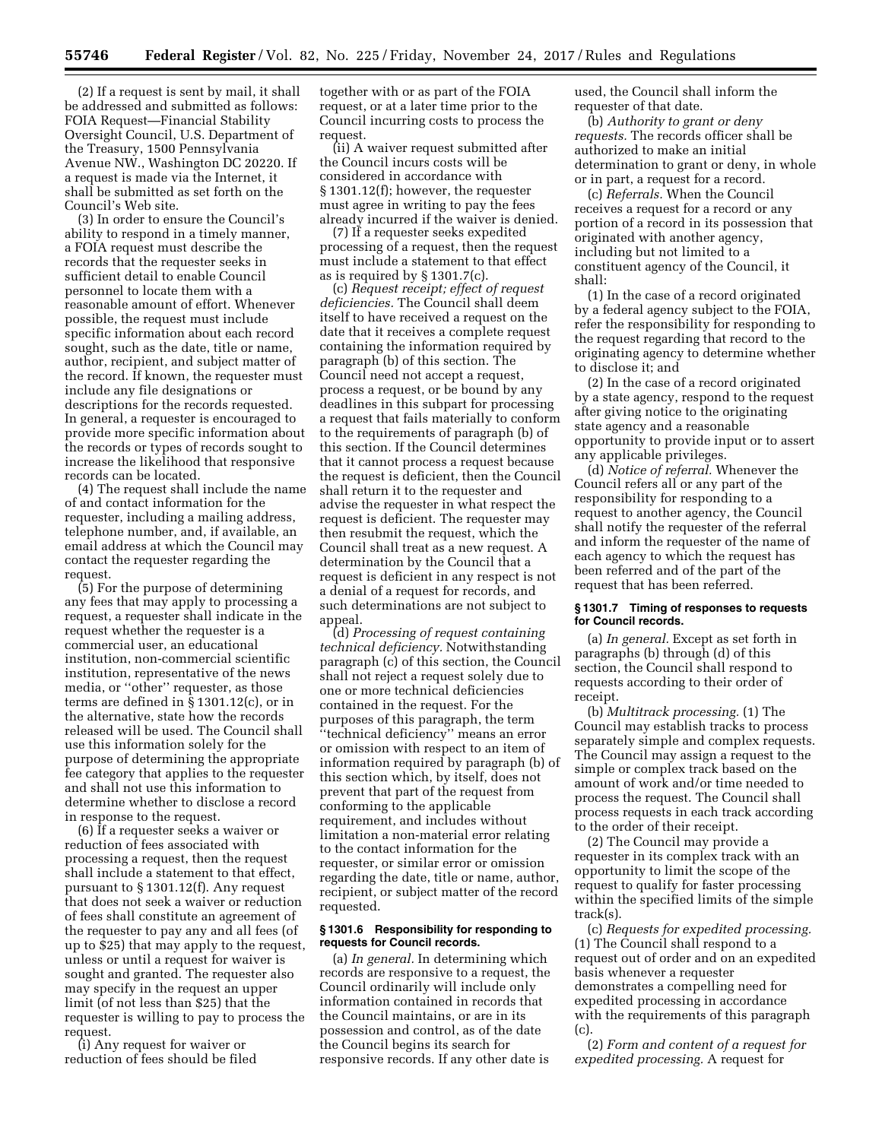(2) If a request is sent by mail, it shall be addressed and submitted as follows: FOIA Request—Financial Stability Oversight Council, U.S. Department of the Treasury, 1500 Pennsylvania Avenue NW., Washington DC 20220. If a request is made via the Internet, it shall be submitted as set forth on the Council's Web site.

(3) In order to ensure the Council's ability to respond in a timely manner, a FOIA request must describe the records that the requester seeks in sufficient detail to enable Council personnel to locate them with a reasonable amount of effort. Whenever possible, the request must include specific information about each record sought, such as the date, title or name, author, recipient, and subject matter of the record. If known, the requester must include any file designations or descriptions for the records requested. In general, a requester is encouraged to provide more specific information about the records or types of records sought to increase the likelihood that responsive records can be located.

(4) The request shall include the name of and contact information for the requester, including a mailing address, telephone number, and, if available, an email address at which the Council may contact the requester regarding the request.

(5) For the purpose of determining any fees that may apply to processing a request, a requester shall indicate in the request whether the requester is a commercial user, an educational institution, non-commercial scientific institution, representative of the news media, or ''other'' requester, as those terms are defined in § 1301.12(c), or in the alternative, state how the records released will be used. The Council shall use this information solely for the purpose of determining the appropriate fee category that applies to the requester and shall not use this information to determine whether to disclose a record in response to the request.

(6) If a requester seeks a waiver or reduction of fees associated with processing a request, then the request shall include a statement to that effect, pursuant to § 1301.12(f). Any request that does not seek a waiver or reduction of fees shall constitute an agreement of the requester to pay any and all fees (of up to \$25) that may apply to the request, unless or until a request for waiver is sought and granted. The requester also may specify in the request an upper limit (of not less than \$25) that the requester is willing to pay to process the request.

(i) Any request for waiver or reduction of fees should be filed together with or as part of the FOIA request, or at a later time prior to the Council incurring costs to process the request.

(ii) A waiver request submitted after the Council incurs costs will be considered in accordance with § 1301.12(f); however, the requester must agree in writing to pay the fees already incurred if the waiver is denied.

(7) If a requester seeks expedited processing of a request, then the request must include a statement to that effect as is required by § 1301.7(c).

(c) *Request receipt; effect of request deficiencies.* The Council shall deem itself to have received a request on the date that it receives a complete request containing the information required by paragraph (b) of this section. The Council need not accept a request, process a request, or be bound by any deadlines in this subpart for processing a request that fails materially to conform to the requirements of paragraph (b) of this section. If the Council determines that it cannot process a request because the request is deficient, then the Council shall return it to the requester and advise the requester in what respect the request is deficient. The requester may then resubmit the request, which the Council shall treat as a new request. A determination by the Council that a request is deficient in any respect is not a denial of a request for records, and such determinations are not subject to appeal.

(d) *Processing of request containing technical deficiency.* Notwithstanding paragraph (c) of this section, the Council shall not reject a request solely due to one or more technical deficiencies contained in the request. For the purposes of this paragraph, the term ''technical deficiency'' means an error or omission with respect to an item of information required by paragraph (b) of this section which, by itself, does not prevent that part of the request from conforming to the applicable requirement, and includes without limitation a non-material error relating to the contact information for the requester, or similar error or omission regarding the date, title or name, author, recipient, or subject matter of the record requested.

#### **§ 1301.6 Responsibility for responding to requests for Council records.**

(a) *In general.* In determining which records are responsive to a request, the Council ordinarily will include only information contained in records that the Council maintains, or are in its possession and control, as of the date the Council begins its search for responsive records. If any other date is

used, the Council shall inform the requester of that date.

(b) *Authority to grant or deny requests.* The records officer shall be authorized to make an initial determination to grant or deny, in whole or in part, a request for a record.

(c) *Referrals.* When the Council receives a request for a record or any portion of a record in its possession that originated with another agency, including but not limited to a constituent agency of the Council, it shall:

(1) In the case of a record originated by a federal agency subject to the FOIA, refer the responsibility for responding to the request regarding that record to the originating agency to determine whether to disclose it; and

(2) In the case of a record originated by a state agency, respond to the request after giving notice to the originating state agency and a reasonable opportunity to provide input or to assert any applicable privileges.

(d) *Notice of referral.* Whenever the Council refers all or any part of the responsibility for responding to a request to another agency, the Council shall notify the requester of the referral and inform the requester of the name of each agency to which the request has been referred and of the part of the request that has been referred.

# **§ 1301.7 Timing of responses to requests for Council records.**

(a) *In general.* Except as set forth in paragraphs (b) through (d) of this section, the Council shall respond to requests according to their order of receipt.

(b) *Multitrack processing.* (1) The Council may establish tracks to process separately simple and complex requests. The Council may assign a request to the simple or complex track based on the amount of work and/or time needed to process the request. The Council shall process requests in each track according to the order of their receipt.

(2) The Council may provide a requester in its complex track with an opportunity to limit the scope of the request to qualify for faster processing within the specified limits of the simple track(s).

(c) *Requests for expedited processing.*  (1) The Council shall respond to a request out of order and on an expedited basis whenever a requester demonstrates a compelling need for expedited processing in accordance with the requirements of this paragraph (c).

(2) *Form and content of a request for expedited processing.* A request for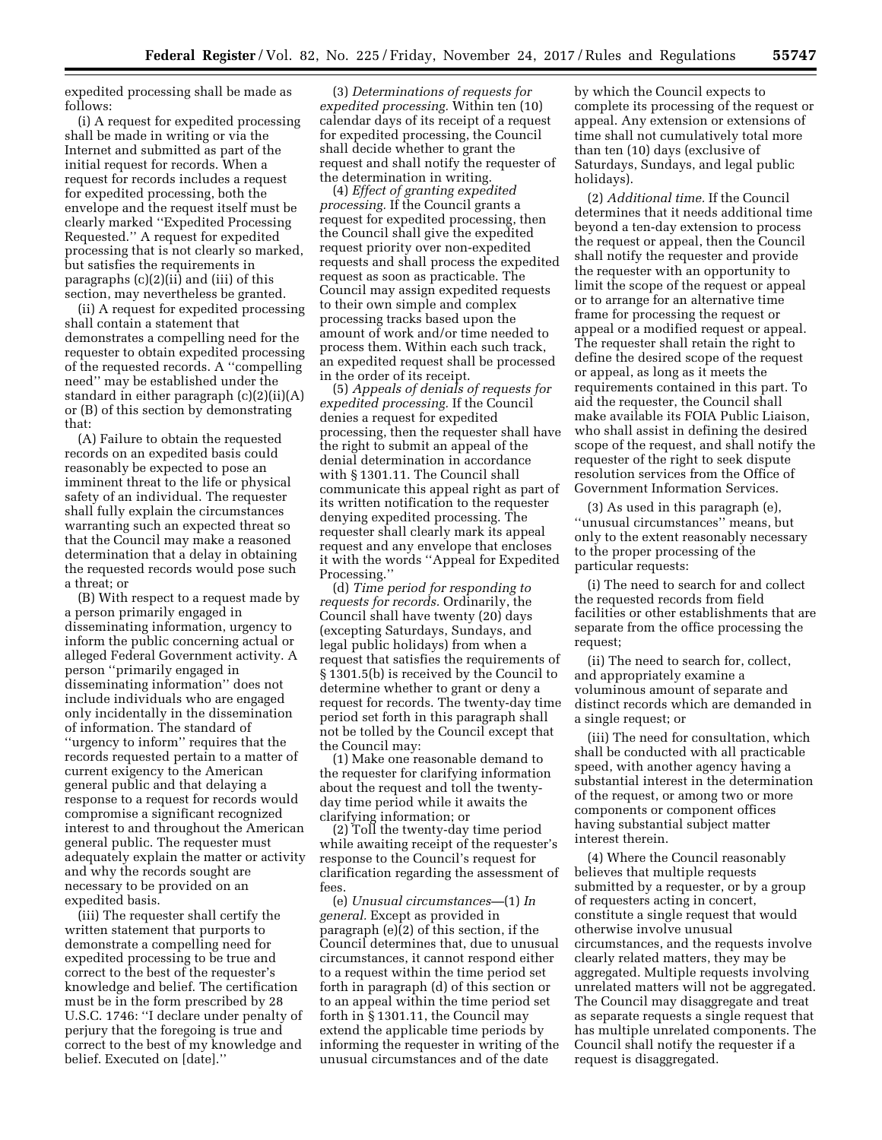expedited processing shall be made as follows:

(i) A request for expedited processing shall be made in writing or via the Internet and submitted as part of the initial request for records. When a request for records includes a request for expedited processing, both the envelope and the request itself must be clearly marked ''Expedited Processing Requested.'' A request for expedited processing that is not clearly so marked, but satisfies the requirements in paragraphs (c)(2)(ii) and (iii) of this section, may nevertheless be granted.

(ii) A request for expedited processing shall contain a statement that demonstrates a compelling need for the requester to obtain expedited processing of the requested records. A ''compelling need'' may be established under the standard in either paragraph (c)(2)(ii)(A) or (B) of this section by demonstrating that:

(A) Failure to obtain the requested records on an expedited basis could reasonably be expected to pose an imminent threat to the life or physical safety of an individual. The requester shall fully explain the circumstances warranting such an expected threat so that the Council may make a reasoned determination that a delay in obtaining the requested records would pose such a threat; or

(B) With respect to a request made by a person primarily engaged in disseminating information, urgency to inform the public concerning actual or alleged Federal Government activity. A person ''primarily engaged in disseminating information'' does not include individuals who are engaged only incidentally in the dissemination of information. The standard of ''urgency to inform'' requires that the records requested pertain to a matter of current exigency to the American general public and that delaying a response to a request for records would compromise a significant recognized interest to and throughout the American general public. The requester must adequately explain the matter or activity and why the records sought are necessary to be provided on an expedited basis.

(iii) The requester shall certify the written statement that purports to demonstrate a compelling need for expedited processing to be true and correct to the best of the requester's knowledge and belief. The certification must be in the form prescribed by 28 U.S.C. 1746: ''I declare under penalty of perjury that the foregoing is true and correct to the best of my knowledge and belief. Executed on [date].''

(3) *Determinations of requests for expedited processing.* Within ten (10) calendar days of its receipt of a request for expedited processing, the Council shall decide whether to grant the request and shall notify the requester of the determination in writing.

(4) *Effect of granting expedited processing.* If the Council grants a request for expedited processing, then the Council shall give the expedited request priority over non-expedited requests and shall process the expedited request as soon as practicable. The Council may assign expedited requests to their own simple and complex processing tracks based upon the amount of work and/or time needed to process them. Within each such track, an expedited request shall be processed in the order of its receipt.

(5) *Appeals of denials of requests for expedited processing.* If the Council denies a request for expedited processing, then the requester shall have the right to submit an appeal of the denial determination in accordance with § 1301.11. The Council shall communicate this appeal right as part of its written notification to the requester denying expedited processing. The requester shall clearly mark its appeal request and any envelope that encloses it with the words ''Appeal for Expedited Processing.''

(d) *Time period for responding to requests for records.* Ordinarily, the Council shall have twenty (20) days (excepting Saturdays, Sundays, and legal public holidays) from when a request that satisfies the requirements of § 1301.5(b) is received by the Council to determine whether to grant or deny a request for records. The twenty-day time period set forth in this paragraph shall not be tolled by the Council except that the Council may:

(1) Make one reasonable demand to the requester for clarifying information about the request and toll the twentyday time period while it awaits the clarifying information; or

(2) Toll the twenty-day time period while awaiting receipt of the requester's response to the Council's request for clarification regarding the assessment of fees.

(e) *Unusual circumstances—*(1) *In general.* Except as provided in paragraph (e)(2) of this section, if the Council determines that, due to unusual circumstances, it cannot respond either to a request within the time period set forth in paragraph (d) of this section or to an appeal within the time period set forth in § 1301.11, the Council may extend the applicable time periods by informing the requester in writing of the unusual circumstances and of the date

by which the Council expects to complete its processing of the request or appeal. Any extension or extensions of time shall not cumulatively total more than ten (10) days (exclusive of Saturdays, Sundays, and legal public holidays).

(2) *Additional time.* If the Council determines that it needs additional time beyond a ten-day extension to process the request or appeal, then the Council shall notify the requester and provide the requester with an opportunity to limit the scope of the request or appeal or to arrange for an alternative time frame for processing the request or appeal or a modified request or appeal. The requester shall retain the right to define the desired scope of the request or appeal, as long as it meets the requirements contained in this part. To aid the requester, the Council shall make available its FOIA Public Liaison, who shall assist in defining the desired scope of the request, and shall notify the requester of the right to seek dispute resolution services from the Office of Government Information Services.

(3) As used in this paragraph (e), ''unusual circumstances'' means, but only to the extent reasonably necessary to the proper processing of the particular requests:

(i) The need to search for and collect the requested records from field facilities or other establishments that are separate from the office processing the request;

(ii) The need to search for, collect, and appropriately examine a voluminous amount of separate and distinct records which are demanded in a single request; or

(iii) The need for consultation, which shall be conducted with all practicable speed, with another agency having a substantial interest in the determination of the request, or among two or more components or component offices having substantial subject matter interest therein.

(4) Where the Council reasonably believes that multiple requests submitted by a requester, or by a group of requesters acting in concert, constitute a single request that would otherwise involve unusual circumstances, and the requests involve clearly related matters, they may be aggregated. Multiple requests involving unrelated matters will not be aggregated. The Council may disaggregate and treat as separate requests a single request that has multiple unrelated components. The Council shall notify the requester if a request is disaggregated.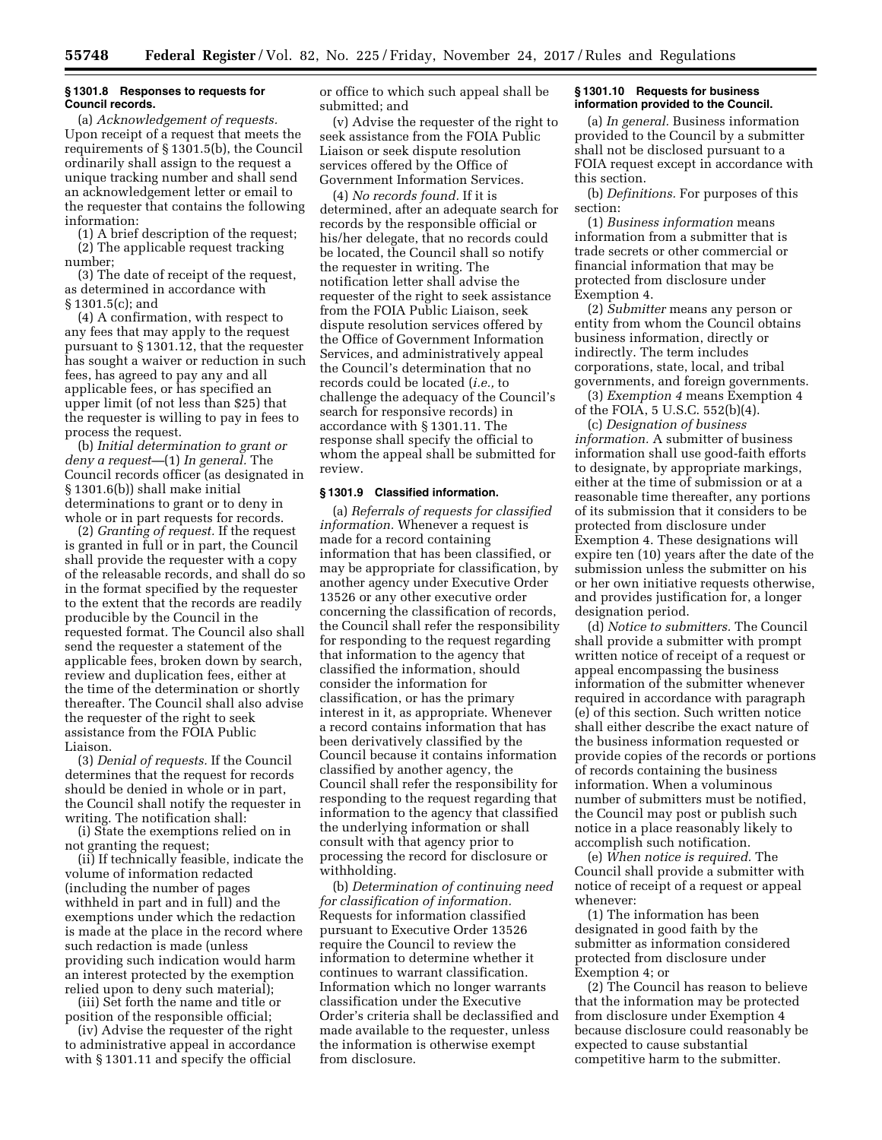# **§ 1301.8 Responses to requests for Council records.**

(a) *Acknowledgement of requests.*  Upon receipt of a request that meets the requirements of § 1301.5(b), the Council ordinarily shall assign to the request a unique tracking number and shall send an acknowledgement letter or email to the requester that contains the following information:

(1) A brief description of the request; (2) The applicable request tracking number;

(3) The date of receipt of the request, as determined in accordance with § 1301.5(c); and

(4) A confirmation, with respect to any fees that may apply to the request pursuant to § 1301.12, that the requester has sought a waiver or reduction in such fees, has agreed to pay any and all applicable fees, or has specified an upper limit (of not less than \$25) that the requester is willing to pay in fees to process the request.

(b) *Initial determination to grant or deny a request—*(1) *In general.* The Council records officer (as designated in § 1301.6(b)) shall make initial determinations to grant or to deny in whole or in part requests for records.

(2) *Granting of request.* If the request is granted in full or in part, the Council shall provide the requester with a copy of the releasable records, and shall do so in the format specified by the requester to the extent that the records are readily producible by the Council in the requested format. The Council also shall send the requester a statement of the applicable fees, broken down by search, review and duplication fees, either at the time of the determination or shortly thereafter. The Council shall also advise the requester of the right to seek assistance from the FOIA Public Liaison.

(3) *Denial of requests.* If the Council determines that the request for records should be denied in whole or in part, the Council shall notify the requester in writing. The notification shall:

(i) State the exemptions relied on in not granting the request;

(ii) If technically feasible, indicate the volume of information redacted (including the number of pages withheld in part and in full) and the exemptions under which the redaction is made at the place in the record where such redaction is made (unless providing such indication would harm an interest protected by the exemption relied upon to deny such material);

(iii) Set forth the name and title or position of the responsible official;

(iv) Advise the requester of the right to administrative appeal in accordance with § 1301.11 and specify the official

or office to which such appeal shall be submitted; and

(v) Advise the requester of the right to seek assistance from the FOIA Public Liaison or seek dispute resolution services offered by the Office of Government Information Services.

(4) *No records found.* If it is determined, after an adequate search for records by the responsible official or his/her delegate, that no records could be located, the Council shall so notify the requester in writing. The notification letter shall advise the requester of the right to seek assistance from the FOIA Public Liaison, seek dispute resolution services offered by the Office of Government Information Services, and administratively appeal the Council's determination that no records could be located (*i.e.,* to challenge the adequacy of the Council's search for responsive records) in accordance with § 1301.11. The response shall specify the official to whom the appeal shall be submitted for review.

### **§ 1301.9 Classified information.**

(a) *Referrals of requests for classified information.* Whenever a request is made for a record containing information that has been classified, or may be appropriate for classification, by another agency under Executive Order 13526 or any other executive order concerning the classification of records, the Council shall refer the responsibility for responding to the request regarding that information to the agency that classified the information, should consider the information for classification, or has the primary interest in it, as appropriate. Whenever a record contains information that has been derivatively classified by the Council because it contains information classified by another agency, the Council shall refer the responsibility for responding to the request regarding that information to the agency that classified the underlying information or shall consult with that agency prior to processing the record for disclosure or withholding.

(b) *Determination of continuing need for classification of information.*  Requests for information classified pursuant to Executive Order 13526 require the Council to review the information to determine whether it continues to warrant classification. Information which no longer warrants classification under the Executive Order's criteria shall be declassified and made available to the requester, unless the information is otherwise exempt from disclosure.

# **§ 1301.10 Requests for business information provided to the Council.**

(a) *In general.* Business information provided to the Council by a submitter shall not be disclosed pursuant to a FOIA request except in accordance with this section.

(b) *Definitions.* For purposes of this section:

(1) *Business information* means information from a submitter that is trade secrets or other commercial or financial information that may be protected from disclosure under Exemption 4.

(2) *Submitter* means any person or entity from whom the Council obtains business information, directly or indirectly. The term includes corporations, state, local, and tribal governments, and foreign governments.

(3) *Exemption 4* means Exemption 4 of the FOIA, 5 U.S.C. 552(b)(4).

(c) *Designation of business information.* A submitter of business information shall use good-faith efforts to designate, by appropriate markings, either at the time of submission or at a reasonable time thereafter, any portions of its submission that it considers to be protected from disclosure under Exemption 4. These designations will expire ten (10) years after the date of the submission unless the submitter on his or her own initiative requests otherwise, and provides justification for, a longer designation period.

(d) *Notice to submitters.* The Council shall provide a submitter with prompt written notice of receipt of a request or appeal encompassing the business information of the submitter whenever required in accordance with paragraph (e) of this section. Such written notice shall either describe the exact nature of the business information requested or provide copies of the records or portions of records containing the business information. When a voluminous number of submitters must be notified, the Council may post or publish such notice in a place reasonably likely to accomplish such notification.

(e) *When notice is required.* The Council shall provide a submitter with notice of receipt of a request or appeal whenever:

(1) The information has been designated in good faith by the submitter as information considered protected from disclosure under Exemption 4; or

(2) The Council has reason to believe that the information may be protected from disclosure under Exemption 4 because disclosure could reasonably be expected to cause substantial competitive harm to the submitter.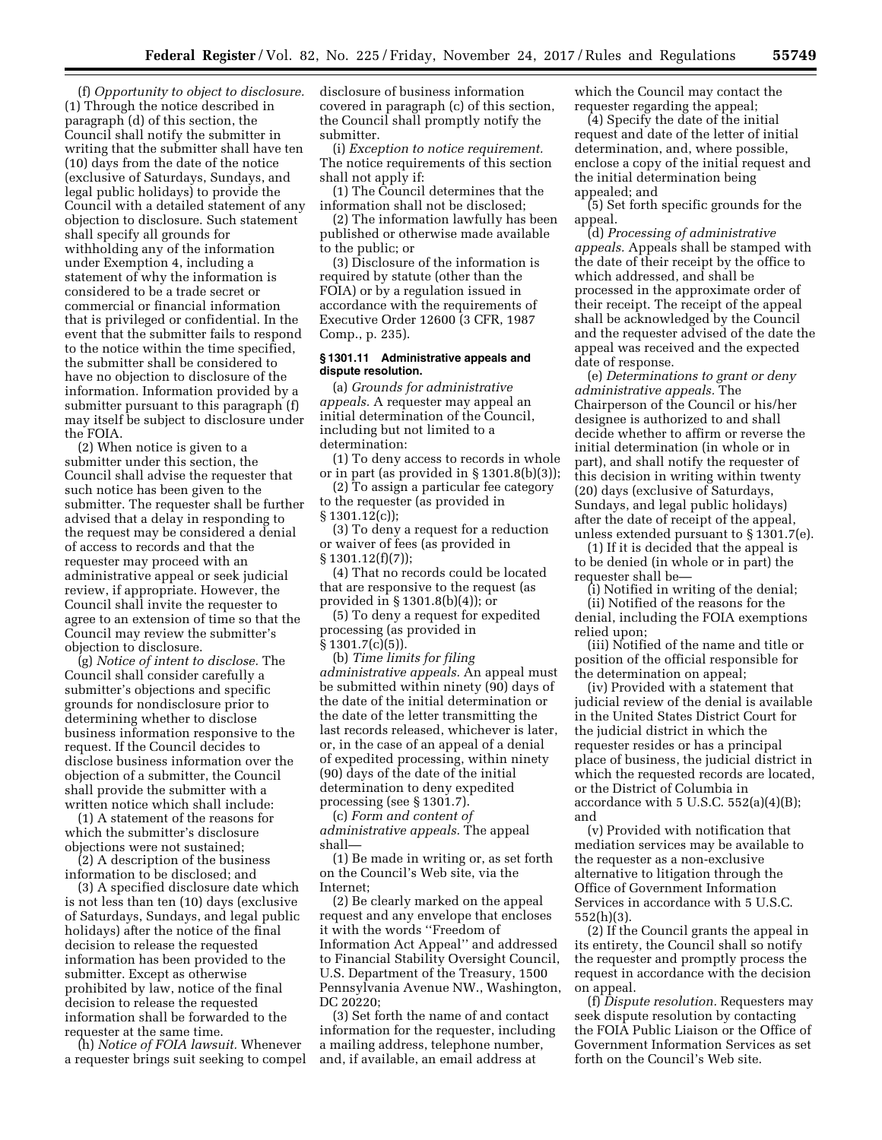(f) *Opportunity to object to disclosure.*  (1) Through the notice described in paragraph (d) of this section, the Council shall notify the submitter in writing that the submitter shall have ten (10) days from the date of the notice (exclusive of Saturdays, Sundays, and legal public holidays) to provide the Council with a detailed statement of any objection to disclosure. Such statement shall specify all grounds for withholding any of the information under Exemption 4, including a statement of why the information is considered to be a trade secret or commercial or financial information that is privileged or confidential. In the event that the submitter fails to respond to the notice within the time specified, the submitter shall be considered to have no objection to disclosure of the information. Information provided by a submitter pursuant to this paragraph (f) may itself be subject to disclosure under the FOIA.

(2) When notice is given to a submitter under this section, the Council shall advise the requester that such notice has been given to the submitter. The requester shall be further advised that a delay in responding to the request may be considered a denial of access to records and that the requester may proceed with an administrative appeal or seek judicial review, if appropriate. However, the Council shall invite the requester to agree to an extension of time so that the Council may review the submitter's objection to disclosure.

(g) *Notice of intent to disclose.* The Council shall consider carefully a submitter's objections and specific grounds for nondisclosure prior to determining whether to disclose business information responsive to the request. If the Council decides to disclose business information over the objection of a submitter, the Council shall provide the submitter with a written notice which shall include:

(1) A statement of the reasons for which the submitter's disclosure objections were not sustained;

(2) A description of the business information to be disclosed; and

(3) A specified disclosure date which is not less than ten (10) days (exclusive of Saturdays, Sundays, and legal public holidays) after the notice of the final decision to release the requested information has been provided to the submitter. Except as otherwise prohibited by law, notice of the final decision to release the requested information shall be forwarded to the requester at the same time.

(h) *Notice of FOIA lawsuit.* Whenever a requester brings suit seeking to compel disclosure of business information covered in paragraph (c) of this section, the Council shall promptly notify the submitter.

(i) *Exception to notice requirement.*  The notice requirements of this section shall not apply if:

(1) The Council determines that the information shall not be disclosed;

(2) The information lawfully has been published or otherwise made available to the public; or

(3) Disclosure of the information is required by statute (other than the FOIA) or by a regulation issued in accordance with the requirements of Executive Order 12600 (3 CFR, 1987 Comp., p. 235).

# **§ 1301.11 Administrative appeals and dispute resolution.**

(a) *Grounds for administrative appeals.* A requester may appeal an initial determination of the Council, including but not limited to a determination:

(1) To deny access to records in whole or in part (as provided in § 1301.8(b)(3));

(2) To assign a particular fee category to the requester (as provided in § 1301.12(c));

(3) To deny a request for a reduction or waiver of fees (as provided in § 1301.12(f)(7));

(4) That no records could be located that are responsive to the request (as provided in § 1301.8(b)(4)); or

(5) To deny a request for expedited processing (as provided in § 1301.7(c)(5)).

(b) *Time limits for filing administrative appeals.* An appeal must be submitted within ninety (90) days of the date of the initial determination or the date of the letter transmitting the last records released, whichever is later, or, in the case of an appeal of a denial of expedited processing, within ninety (90) days of the date of the initial determination to deny expedited processing (see § 1301.7).

(c) *Form and content of administrative appeals.* The appeal shall—

(1) Be made in writing or, as set forth on the Council's Web site, via the Internet;

(2) Be clearly marked on the appeal request and any envelope that encloses it with the words ''Freedom of Information Act Appeal'' and addressed to Financial Stability Oversight Council, U.S. Department of the Treasury, 1500 Pennsylvania Avenue NW., Washington, DC 20220;

(3) Set forth the name of and contact information for the requester, including a mailing address, telephone number, and, if available, an email address at

which the Council may contact the requester regarding the appeal;

(4) Specify the date of the initial request and date of the letter of initial determination, and, where possible, enclose a copy of the initial request and the initial determination being appealed; and

(5) Set forth specific grounds for the appeal.

(d) *Processing of administrative appeals.* Appeals shall be stamped with the date of their receipt by the office to which addressed, and shall be processed in the approximate order of their receipt. The receipt of the appeal shall be acknowledged by the Council and the requester advised of the date the appeal was received and the expected date of response.

(e) *Determinations to grant or deny administrative appeals.* The Chairperson of the Council or his/her designee is authorized to and shall decide whether to affirm or reverse the initial determination (in whole or in part), and shall notify the requester of this decision in writing within twenty (20) days (exclusive of Saturdays, Sundays, and legal public holidays) after the date of receipt of the appeal, unless extended pursuant to § 1301.7(e).

(1) If it is decided that the appeal is to be denied (in whole or in part) the requester shall be—

(i) Notified in writing of the denial;

(ii) Notified of the reasons for the denial, including the FOIA exemptions relied upon;

(iii) Notified of the name and title or position of the official responsible for the determination on appeal;

(iv) Provided with a statement that judicial review of the denial is available in the United States District Court for the judicial district in which the requester resides or has a principal place of business, the judicial district in which the requested records are located, or the District of Columbia in accordance with  $5$  U.S.C.  $552(a)(4)(B)$ ; and

(v) Provided with notification that mediation services may be available to the requester as a non-exclusive alternative to litigation through the Office of Government Information Services in accordance with 5 U.S.C. 552(h)(3).

(2) If the Council grants the appeal in its entirety, the Council shall so notify the requester and promptly process the request in accordance with the decision on appeal.

(f) *Dispute resolution.* Requesters may seek dispute resolution by contacting the FOIA Public Liaison or the Office of Government Information Services as set forth on the Council's Web site.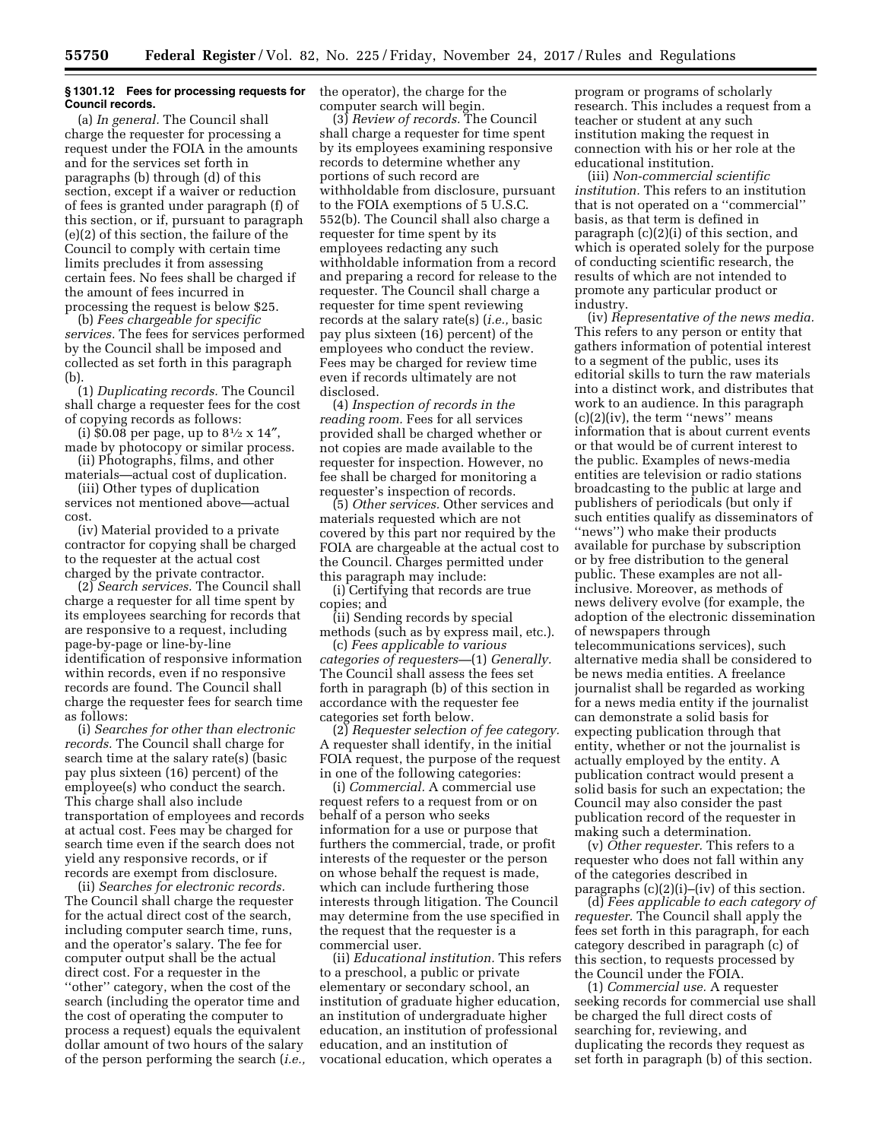### **§ 1301.12 Fees for processing requests for Council records.**

(a) *In general.* The Council shall charge the requester for processing a request under the FOIA in the amounts and for the services set forth in paragraphs (b) through (d) of this section, except if a waiver or reduction of fees is granted under paragraph (f) of this section, or if, pursuant to paragraph (e)(2) of this section, the failure of the Council to comply with certain time limits precludes it from assessing certain fees. No fees shall be charged if the amount of fees incurred in processing the request is below \$25.

(b) *Fees chargeable for specific services.* The fees for services performed by the Council shall be imposed and collected as set forth in this paragraph (b).

(1) *Duplicating records.* The Council shall charge a requester fees for the cost of copying records as follows:

(i)  $$0.08$  per page, up to  $8\frac{1}{2} \times 14$ ", made by photocopy or similar process.

(ii) Photographs, films, and other materials—actual cost of duplication.

(iii) Other types of duplication services not mentioned above—actual cost.

(iv) Material provided to a private contractor for copying shall be charged to the requester at the actual cost charged by the private contractor.

(2) *Search services.* The Council shall charge a requester for all time spent by its employees searching for records that are responsive to a request, including page-by-page or line-by-line identification of responsive information within records, even if no responsive records are found. The Council shall charge the requester fees for search time as follows:

(i) *Searches for other than electronic records.* The Council shall charge for search time at the salary rate(s) (basic pay plus sixteen (16) percent) of the employee(s) who conduct the search. This charge shall also include transportation of employees and records at actual cost. Fees may be charged for search time even if the search does not yield any responsive records, or if records are exempt from disclosure.

(ii) *Searches for electronic records.*  The Council shall charge the requester for the actual direct cost of the search, including computer search time, runs, and the operator's salary. The fee for computer output shall be the actual direct cost. For a requester in the ''other'' category, when the cost of the search (including the operator time and the cost of operating the computer to process a request) equals the equivalent dollar amount of two hours of the salary of the person performing the search (*i.e.,*  the operator), the charge for the computer search will begin.

(3) *Review of records.* The Council shall charge a requester for time spent by its employees examining responsive records to determine whether any portions of such record are withholdable from disclosure, pursuant to the FOIA exemptions of 5 U.S.C. 552(b). The Council shall also charge a requester for time spent by its employees redacting any such withholdable information from a record and preparing a record for release to the requester. The Council shall charge a requester for time spent reviewing records at the salary rate(s) (*i.e.,* basic pay plus sixteen (16) percent) of the employees who conduct the review. Fees may be charged for review time even if records ultimately are not disclosed.

(4) *Inspection of records in the reading room.* Fees for all services provided shall be charged whether or not copies are made available to the requester for inspection. However, no fee shall be charged for monitoring a requester's inspection of records.

(5) *Other services.* Other services and materials requested which are not covered by this part nor required by the FOIA are chargeable at the actual cost to the Council. Charges permitted under this paragraph may include:

(i) Certifying that records are true copies; and

(ii) Sending records by special methods (such as by express mail, etc.).

(c) *Fees applicable to various categories of requesters—*(1) *Generally.*  The Council shall assess the fees set forth in paragraph (b) of this section in accordance with the requester fee categories set forth below.

(2) *Requester selection of fee category.*  A requester shall identify, in the initial FOIA request, the purpose of the request in one of the following categories:

(i) *Commercial.* A commercial use request refers to a request from or on behalf of a person who seeks information for a use or purpose that furthers the commercial, trade, or profit interests of the requester or the person on whose behalf the request is made, which can include furthering those interests through litigation. The Council may determine from the use specified in the request that the requester is a commercial user.

(ii) *Educational institution.* This refers to a preschool, a public or private elementary or secondary school, an institution of graduate higher education, an institution of undergraduate higher education, an institution of professional education, and an institution of vocational education, which operates a

program or programs of scholarly research. This includes a request from a teacher or student at any such institution making the request in connection with his or her role at the educational institution.

(iii) *Non-commercial scientific institution.* This refers to an institution that is not operated on a ''commercial'' basis, as that term is defined in paragraph (c)(2)(i) of this section, and which is operated solely for the purpose of conducting scientific research, the results of which are not intended to promote any particular product or industry.

(iv) *Representative of the news media.*  This refers to any person or entity that gathers information of potential interest to a segment of the public, uses its editorial skills to turn the raw materials into a distinct work, and distributes that work to an audience. In this paragraph (c)(2)(iv), the term ''news'' means information that is about current events or that would be of current interest to the public. Examples of news-media entities are television or radio stations broadcasting to the public at large and publishers of periodicals (but only if such entities qualify as disseminators of ''news'') who make their products available for purchase by subscription or by free distribution to the general public. These examples are not allinclusive. Moreover, as methods of news delivery evolve (for example, the adoption of the electronic dissemination of newspapers through telecommunications services), such alternative media shall be considered to be news media entities. A freelance journalist shall be regarded as working for a news media entity if the journalist can demonstrate a solid basis for expecting publication through that entity, whether or not the journalist is actually employed by the entity. A publication contract would present a solid basis for such an expectation; the Council may also consider the past publication record of the requester in making such a determination.

(v) *Other requester.* This refers to a requester who does not fall within any of the categories described in paragraphs (c)(2)(i)–(iv) of this section.

(d) *Fees applicable to each category of requester.* The Council shall apply the fees set forth in this paragraph, for each category described in paragraph (c) of this section, to requests processed by the Council under the FOIA.

(1) *Commercial use.* A requester seeking records for commercial use shall be charged the full direct costs of searching for, reviewing, and duplicating the records they request as set forth in paragraph (b) of this section.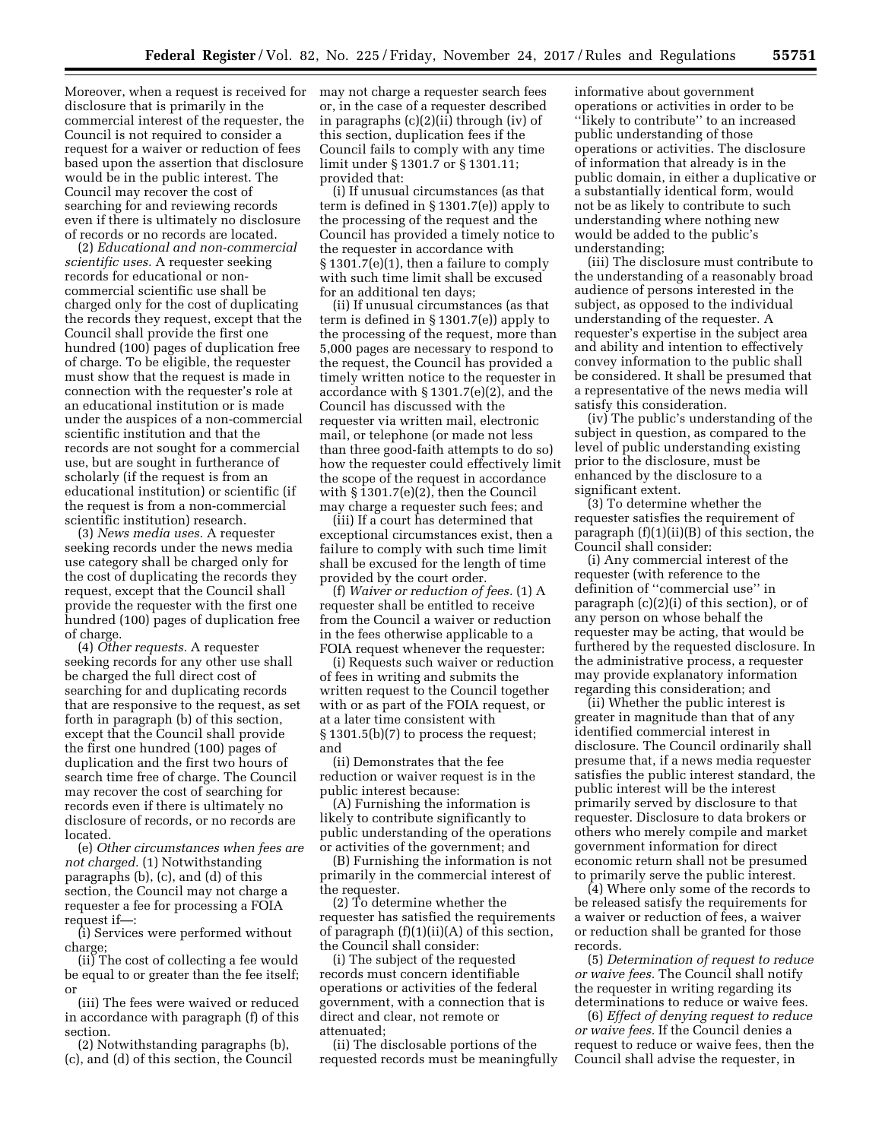Moreover, when a request is received for may not charge a requester search fees disclosure that is primarily in the commercial interest of the requester, the Council is not required to consider a request for a waiver or reduction of fees based upon the assertion that disclosure would be in the public interest. The Council may recover the cost of searching for and reviewing records even if there is ultimately no disclosure of records or no records are located.

(2) *Educational and non-commercial scientific uses.* A requester seeking records for educational or noncommercial scientific use shall be charged only for the cost of duplicating the records they request, except that the Council shall provide the first one hundred (100) pages of duplication free of charge. To be eligible, the requester must show that the request is made in connection with the requester's role at an educational institution or is made under the auspices of a non-commercial scientific institution and that the records are not sought for a commercial use, but are sought in furtherance of scholarly (if the request is from an educational institution) or scientific (if the request is from a non-commercial scientific institution) research.

(3) *News media uses.* A requester seeking records under the news media use category shall be charged only for the cost of duplicating the records they request, except that the Council shall provide the requester with the first one hundred (100) pages of duplication free of charge.

(4) *Other requests.* A requester seeking records for any other use shall be charged the full direct cost of searching for and duplicating records that are responsive to the request, as set forth in paragraph (b) of this section, except that the Council shall provide the first one hundred (100) pages of duplication and the first two hours of search time free of charge. The Council may recover the cost of searching for records even if there is ultimately no disclosure of records, or no records are located.

(e) *Other circumstances when fees are not charged.* (1) Notwithstanding paragraphs (b), (c), and (d) of this section, the Council may not charge a requester a fee for processing a FOIA request if—:

(i) Services were performed without charge;

(ii) The cost of collecting a fee would be equal to or greater than the fee itself; or

(iii) The fees were waived or reduced in accordance with paragraph (f) of this section.

(2) Notwithstanding paragraphs (b), (c), and (d) of this section, the Council

or, in the case of a requester described in paragraphs (c)(2)(ii) through (iv) of this section, duplication fees if the Council fails to comply with any time limit under § 1301.7 or § 1301.11; provided that:

(i) If unusual circumstances (as that term is defined in § 1301.7(e)) apply to the processing of the request and the Council has provided a timely notice to the requester in accordance with § 1301.7(e)(1), then a failure to comply with such time limit shall be excused for an additional ten days;

(ii) If unusual circumstances (as that term is defined in § 1301.7(e)) apply to the processing of the request, more than 5,000 pages are necessary to respond to the request, the Council has provided a timely written notice to the requester in accordance with § 1301.7(e)(2), and the Council has discussed with the requester via written mail, electronic mail, or telephone (or made not less than three good-faith attempts to do so) how the requester could effectively limit the scope of the request in accordance with § 1301.7(e)(2), then the Council may charge a requester such fees; and

(iii) If a court has determined that exceptional circumstances exist, then a failure to comply with such time limit shall be excused for the length of time provided by the court order.

(f) *Waiver or reduction of fees.* (1) A requester shall be entitled to receive from the Council a waiver or reduction in the fees otherwise applicable to a FOIA request whenever the requester:

(i) Requests such waiver or reduction of fees in writing and submits the written request to the Council together with or as part of the FOIA request, or at a later time consistent with § 1301.5(b)(7) to process the request; and

(ii) Demonstrates that the fee reduction or waiver request is in the public interest because:

(A) Furnishing the information is likely to contribute significantly to public understanding of the operations or activities of the government; and

(B) Furnishing the information is not primarily in the commercial interest of the requester.

(2) To determine whether the requester has satisfied the requirements of paragraph (f)(1)(ii)(A) of this section, the Council shall consider:

(i) The subject of the requested records must concern identifiable operations or activities of the federal government, with a connection that is direct and clear, not remote or attenuated;

(ii) The disclosable portions of the requested records must be meaningfully informative about government operations or activities in order to be "likely to contribute" to an increased public understanding of those operations or activities. The disclosure of information that already is in the public domain, in either a duplicative or a substantially identical form, would not be as likely to contribute to such understanding where nothing new would be added to the public's understanding;

(iii) The disclosure must contribute to the understanding of a reasonably broad audience of persons interested in the subject, as opposed to the individual understanding of the requester. A requester's expertise in the subject area and ability and intention to effectively convey information to the public shall be considered. It shall be presumed that a representative of the news media will satisfy this consideration.

(iv) The public's understanding of the subject in question, as compared to the level of public understanding existing prior to the disclosure, must be enhanced by the disclosure to a significant extent.

(3) To determine whether the requester satisfies the requirement of paragraph  $(f)(1)(ii)(B)$  of this section, the Council shall consider:

(i) Any commercial interest of the requester (with reference to the definition of ''commercial use'' in paragraph (c)(2)(i) of this section), or of any person on whose behalf the requester may be acting, that would be furthered by the requested disclosure. In the administrative process, a requester may provide explanatory information regarding this consideration; and

(ii) Whether the public interest is greater in magnitude than that of any identified commercial interest in disclosure. The Council ordinarily shall presume that, if a news media requester satisfies the public interest standard, the public interest will be the interest primarily served by disclosure to that requester. Disclosure to data brokers or others who merely compile and market government information for direct economic return shall not be presumed to primarily serve the public interest.

(4) Where only some of the records to be released satisfy the requirements for a waiver or reduction of fees, a waiver or reduction shall be granted for those records.

(5) *Determination of request to reduce or waive fees.* The Council shall notify the requester in writing regarding its determinations to reduce or waive fees.

(6) *Effect of denying request to reduce or waive fees.* If the Council denies a request to reduce or waive fees, then the Council shall advise the requester, in